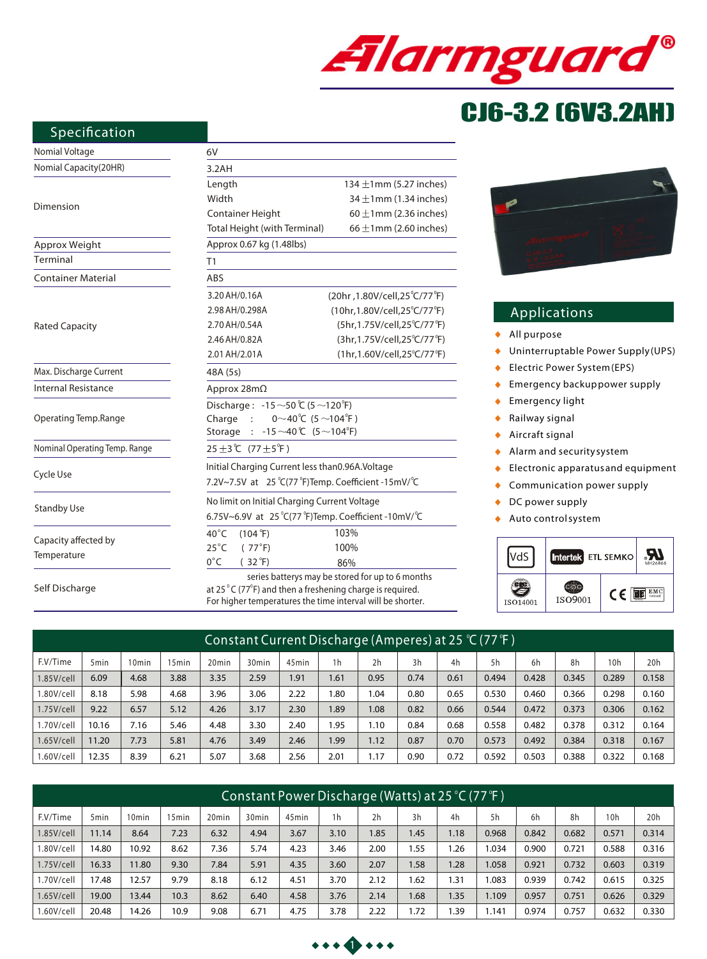

# CJ6-3.2 (6V3.2AH)

#### **Specification**

## Nomial Voltage

Self Discharge

| Nomial Voltage                | 6V                                                                         |                                                         |  |  |  |  |  |  |  |
|-------------------------------|----------------------------------------------------------------------------|---------------------------------------------------------|--|--|--|--|--|--|--|
| Nomial Capacity(20HR)         | 3.2AH                                                                      |                                                         |  |  |  |  |  |  |  |
|                               | Length                                                                     | 134 $\pm$ 1mm (5.27 inches)                             |  |  |  |  |  |  |  |
| Dimension                     | Width                                                                      | 34 $\pm$ 1mm (1.34 inches)                              |  |  |  |  |  |  |  |
|                               | Container Height                                                           | $60 \pm 1$ mm (2.36 inches)                             |  |  |  |  |  |  |  |
|                               | Total Height (with Terminal)                                               | $66 \pm 1$ mm (2.60 inches)                             |  |  |  |  |  |  |  |
| Approx Weight                 | Approx 0.67 kg (1.48lbs)                                                   |                                                         |  |  |  |  |  |  |  |
| Terminal                      | T1                                                                         |                                                         |  |  |  |  |  |  |  |
| <b>Container Material</b>     | ABS                                                                        |                                                         |  |  |  |  |  |  |  |
|                               | 3.20 AH/0.16A                                                              | (20hr, 1.80V/cell, 25 <sup>°</sup> C/77 <sup>°</sup> F) |  |  |  |  |  |  |  |
|                               | 2.98 AH/0.298A                                                             | (10hr, 1.80V/cell, 25°C/77°F)                           |  |  |  |  |  |  |  |
| <b>Rated Capacity</b>         | 2.70 AH/0.54A                                                              | (5hr,1.75V/cell,25°C/77°F)                              |  |  |  |  |  |  |  |
|                               | 2.46 AH/0.82A                                                              | (3hr, 1.75V/cell, 25°C/77°F)                            |  |  |  |  |  |  |  |
|                               | 2.01 AH/2.01A                                                              | (1hr,1.60V/cell,25°C/77°F)                              |  |  |  |  |  |  |  |
| Max. Discharge Current        | 48A (5s)                                                                   |                                                         |  |  |  |  |  |  |  |
| <b>Internal Resistance</b>    | Approx $28m\Omega$                                                         |                                                         |  |  |  |  |  |  |  |
|                               | Discharge: -15 ~50 ℃ (5 ~120 °F)                                           |                                                         |  |  |  |  |  |  |  |
| Operating Temp.Range          | $0^\sim 40^\circ C$ (5 $\sim$ 104 $^\circ$ F)<br>Charge :                  |                                                         |  |  |  |  |  |  |  |
|                               | $-15 \sim 40$ °C (5 $\sim$ 104 <sup>°</sup> F)<br>Storage                  |                                                         |  |  |  |  |  |  |  |
| Nominal Operating Temp. Range | 25 ±3℃ (77 ±5 <sup>°</sup> F)                                              |                                                         |  |  |  |  |  |  |  |
|                               | Initial Charging Current less than0.96A.Voltage                            |                                                         |  |  |  |  |  |  |  |
| Cycle Use                     | 7.2V~7.5V at 25 °C(77 °F)Temp. Coefficient -15mV/ °C                       |                                                         |  |  |  |  |  |  |  |
|                               | No limit on Initial Charging Current Voltage                               |                                                         |  |  |  |  |  |  |  |
| <b>Standby Use</b>            | 6.75V~6.9V at 25 $°C(77 °F)$ Temp. Coefficient -10mV/ $°C$                 |                                                         |  |  |  |  |  |  |  |
|                               | $40^{\circ}$ C<br>$(104 \text{ }^{\circ}\text{F})$                         | 103%                                                    |  |  |  |  |  |  |  |
| Capacity affected by          | $25^{\circ}$ C<br>(77°F)                                                   | 100%                                                    |  |  |  |  |  |  |  |
| Temperature                   | $0^{\circ}$ C<br>$(32^{\circ}F)$                                           | 86%                                                     |  |  |  |  |  |  |  |
|                               |                                                                            | series batterys may be stored for up to 6 months        |  |  |  |  |  |  |  |
| Self Discharge                | at $25\degree$ C ( $77\degree$ F) and then a freshening charge is required |                                                         |  |  |  |  |  |  |  |

at 25  $\mathrm{^{\circ}C}$  (77 $\mathrm{^{\circ}F}$ ) and then a freshening charge is required. For higher temperatures the time interval will be shorter.



#### **Applications**

- $\ddot{\bullet}$ *All purpose*
- *Uninterruptable Power Supply (UPS)*  $\ddot{\bullet}$
- *Electric Power System (EPS)*  $\bullet$
- *Emergency backup power supply*  $\bullet$
- *Emergency light*   $\blacklozenge$
- $\bullet$ *Railway signal*
- *Aircraft signal*  $\blacklozenge$
- *Alarm and security system*  $\bullet$
- *Electronic apparatus and equipment*  $\bullet$
- $\bullet$ *Communication power supply*
- *DC power supply*  $\bullet$
- *Auto control system*  $\blacktriangle$



| Constant Current Discharge (Amperes) at 25 °C (77 °F) |                  |                   |                  |                   |                   |                   |                |                |      |      |       |       |       |       |       |
|-------------------------------------------------------|------------------|-------------------|------------------|-------------------|-------------------|-------------------|----------------|----------------|------|------|-------|-------|-------|-------|-------|
| F.V/Time                                              | 5 <sub>min</sub> | 10 <sub>min</sub> | 5 <sub>min</sub> | 20 <sub>min</sub> | 30 <sub>min</sub> | 45 <sub>min</sub> | 1 <sub>h</sub> | 2 <sub>h</sub> | 3h   | 4h   | 5h    | 6h    | 8h    | 10h   | 20h   |
| $1.85$ V/cell                                         | 6.09             | 4.68              | 3.88             | 3.35              | 2.59              | 1.91              | 1.61           | 0.95           | 0.74 | 0.61 | 0.494 | 0.428 | 0.345 | 0.289 | 0.158 |
| I.80V/cell                                            | 8.18             | 5.98              | 4.68             | 3.96              | 3.06              | 2.22              | .80            | .04            | 0.80 | 0.65 | 0.530 | 0.460 | 0.366 | 0.298 | 0.160 |
| 1.75V/cell                                            | 9.22             | 6.57              | 5.12             | 4.26              | 3.17              | 2.30              | .89            | 1.08           | 0.82 | 0.66 | 0.544 | 0.472 | 0.373 | 0.306 | 0.162 |
| 1.70V/cell                                            | 10.16            | 7.16              | 5.46             | 4.48              | 3.30              | 2.40              | 1.95           | 1.10           | 0.84 | 0.68 | 0.558 | 0.482 | 0.378 | 0.312 | 0.164 |
| 1.65V/cell                                            | 11.20            | 7.73              | 5.81             | 4.76              | 3.49              | 2.46              | 1.99           | 1.12           | 0.87 | 0.70 | 0.573 | 0.492 | 0.384 | 0.318 | 0.167 |
| 1.60V/cell                                            | 12.35            | 8.39              | 6.21             | 5.07              | 3.68              | 2.56              | 2.01           | 1.17           | 0.90 | 0.72 | 0.592 | 0.503 | 0.388 | 0.322 | 0.168 |

| Constant Power Discharge (Watts) at 25 °C (77 °F ) |                  |                   |       |                   |                   |                   |                |      |      |      |       |       |       |       |       |
|----------------------------------------------------|------------------|-------------------|-------|-------------------|-------------------|-------------------|----------------|------|------|------|-------|-------|-------|-------|-------|
| F.V/Time                                           | 5 <sub>min</sub> | 10 <sub>min</sub> | 15min | 20 <sub>min</sub> | 30 <sub>min</sub> | 45 <sub>min</sub> | 1 <sub>h</sub> | 2h   | 3h   | 4h   | 5h    | 6h    | 8h    | 10h   | 20h   |
| 1.85V/cell                                         | 11.14            | 8.64              | 7.23  | 6.32              | 4.94              | 3.67              | 3.10           | .85  | 1.45 | 1.18 | 0.968 | 0.842 | 0.682 | 0.571 | 0.314 |
| 1.80V/cell                                         | 14.80            | 10.92             | 8.62  | 7.36              | 5.74              | 4.23              | 3.46           | 2.00 | 1.55 | 1.26 | 1.034 | 0.900 | 0.721 | 0.588 | 0.316 |
| $1.75$ V/cell                                      | 16.33            | 11.80             | 9.30  | 7.84              | 5.91              | 4.35              | 3.60           | 2.07 | 1.58 | 1.28 | 1.058 | 0.921 | 0.732 | 0.603 | 0.319 |
| 1.70V/cell                                         | 17.48            | 12.57             | 9.79  | 8.18              | 6.12              | 4.51              | 3.70           | 2.12 | 1.62 | 1.31 | 1.083 | 0.939 | 0.742 | 0.615 | 0.325 |
| $1.65$ V/cell                                      | 19.00            | 13.44             | 10.3  | 8.62              | 6.40              | 4.58              | 3.76           | 2.14 | 1.68 | 1.35 | 1.109 | 0.957 | 0.751 | 0.626 | 0.329 |
| 1.60V/cell                                         | 20.48            | 14.26             | 10.9  | 9.08              | 6.71              | 4.75              | 3.78           | 2.22 | 1.72 | .39  | .141  | 0.974 | 0.757 | 0.632 | 0.330 |